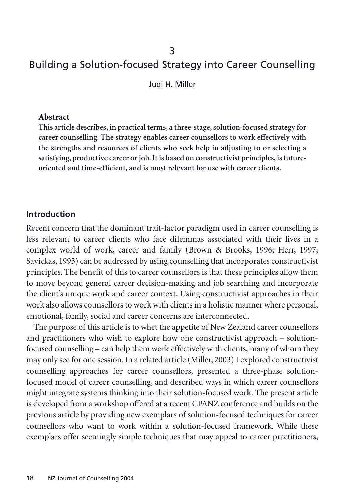#### 3

# Building a Solution-focused Strategy into Career Counselling

Judi H. Miller

#### **Abstract**

**This article describes, in practical terms, a three-stage, solution-focused strategy for career counselling. The strategy enables career counsellors to work effectively with the strengths and resources of clients who seek help in adjusting to or selecting a satisfying, productive career or job. It is based on constructivist principles, is futureoriented and time-efficient, and is most relevant for use with career clients.**

#### **Introduction**

Recent concern that the dominant trait-factor paradigm used in career counselling is less relevant to career clients who face dilemmas associated with their lives in a complex world of work, career and family (Brown & Brooks, 1996; Herr, 1997; Savickas, 1993) can be addressed by using counselling that incorporates constructivist principles. The benefit of this to career counsellors is that these principles allow them to move beyond general career decision-making and job searching and incorporate the client's unique work and career context. Using constructivist approaches in their work also allows counsellors to work with clients in a holistic manner where personal, emotional, family, social and career concerns are interconnected.

The purpose of this article is to whet the appetite of New Zealand career counsellors and practitioners who wish to explore how one constructivist approach – solutionfocused counselling – can help them work effectively with clients, many of whom they may only see for one session. In a related article (Miller, 2003) I explored constructivist counselling approaches for career counsellors, presented a three-phase solutionfocused model of career counselling, and described ways in which career counsellors might integrate systems thinking into their solution-focused work. The present article is developed from a workshop offered at a recent CPANZ conference and builds on the previous article by providing new exemplars of solution-focused techniques for career counsellors who want to work within a solution-focused framework. While these exemplars offer seemingly simple techniques that may appeal to career practitioners,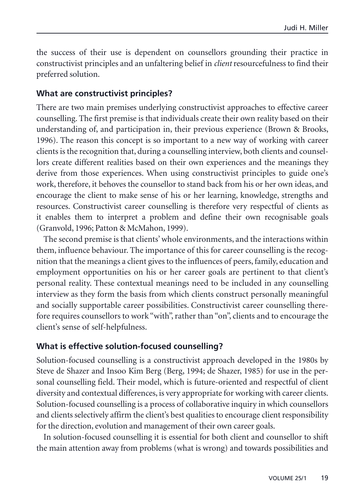the success of their use is dependent on counsellors grounding their practice in constructivist principles and an unfaltering belief in *client* resourcefulness to find their preferred solution.

#### **What are constructivist principles?**

There are two main premises underlying constructivist approaches to effective career counselling. The first premise is that individuals create their own reality based on their understanding of, and participation in, their previous experience (Brown & Brooks, 1996). The reason this concept is so important to a new way of working with career clients is the recognition that, during a counselling interview, both clients and counsellors create different realities based on their own experiences and the meanings they derive from those experiences. When using constructivist principles to guide one's work, therefore, it behoves the counsellor to stand back from his or her own ideas, and encourage the client to make sense of his or her learning, knowledge, strengths and resources. Constructivist career counselling is therefore very respectful of clients as it enables them to interpret a problem and define their own recognisable goals (Granvold, 1996; Patton & McMahon, 1999).

The second premise is that clients' whole environments, and the interactions within them, influence behaviour. The importance of this for career counselling is the recognition that the meanings a client gives to the influences of peers, family, education and employment opportunities on his or her career goals are pertinent to that client's personal reality. These contextual meanings need to be included in any counselling interview as they form the basis from which clients construct personally meaningful and socially supportable career possibilities. Constructivist career counselling therefore requires counsellors to work "with", rather than "on", clients and to encourage the client's sense of self-helpfulness.

#### **What is effective solution-focused counselling?**

Solution-focused counselling is a constructivist approach developed in the 1980s by Steve de Shazer and Insoo Kim Berg (Berg, 1994; de Shazer, 1985) for use in the personal counselling field. Their model, which is future-oriented and respectful of client diversity and contextual differences, is very appropriate for working with career clients. Solution-focused counselling is a process of collaborative inquiry in which counsellors and clients selectively affirm the client's best qualities to encourage client responsibility for the direction, evolution and management of their own career goals.

In solution-focused counselling it is essential for both client and counsellor to shift the main attention away from problems (what is wrong) and towards possibilities and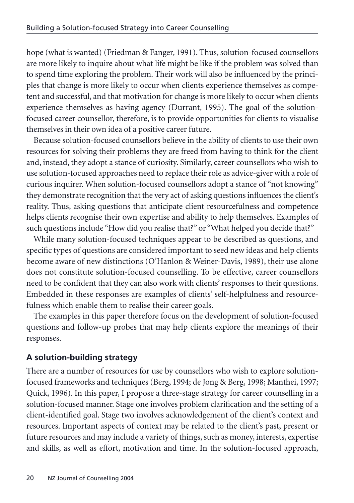hope (what is wanted) (Friedman & Fanger, 1991). Thus, solution-focused counsellors are more likely to inquire about what life might be like if the problem was solved than to spend time exploring the problem. Their work will also be influenced by the principles that change is more likely to occur when clients experience themselves as competent and successful, and that motivation for change is more likely to occur when clients experience themselves as having agency (Durrant, 1995). The goal of the solutionfocused career counsellor, therefore, is to provide opportunities for clients to visualise themselves in their own idea of a positive career future.

Because solution-focused counsellors believe in the ability of clients to use their own resources for solving their problems they are freed from having to think for the client and, instead, they adopt a stance of curiosity. Similarly, career counsellors who wish to use solution-focused approaches need to replace their role as advice-giver with a role of curious inquirer. When solution-focused counsellors adopt a stance of "not knowing" they demonstrate recognition that the very act of asking questions influences the client's reality. Thus, asking questions that anticipate client resourcefulness and competence helps clients recognise their own expertise and ability to help themselves. Examples of such questions include "How did you realise that?" or "What helped you decide that?"

While many solution-focused techniques appear to be described as questions, and specific types of questions are considered important to seed new ideas and help clients become aware of new distinctions (O'Hanlon & Weiner-Davis, 1989), their use alone does not constitute solution-focused counselling. To be effective, career counsellors need to be confident that they can also work with clients' responses to their questions. Embedded in these responses are examples of clients' self-helpfulness and resourcefulness which enable them to realise their career goals.

The examples in this paper therefore focus on the development of solution-focused questions and follow-up probes that may help clients explore the meanings of their responses.

# **A solution-building strategy**

There are a number of resources for use by counsellors who wish to explore solutionfocused frameworks and techniques (Berg, 1994; de Jong & Berg, 1998; Manthei, 1997; Quick, 1996). In this paper, I propose a three-stage strategy for career counselling in a solution-focused manner. Stage one involves problem clarification and the setting of a client-identified goal. Stage two involves acknowledgement of the client's context and resources. Important aspects of context may be related to the client's past, present or future resources and may include a variety of things, such as money, interests, expertise and skills, as well as effort, motivation and time. In the solution-focused approach,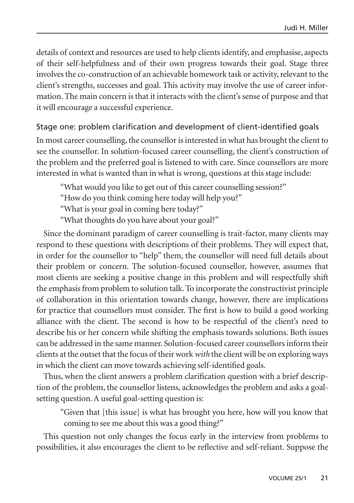details of context and resources are used to help clients identify, and emphasise, aspects of their self-helpfulness and of their own progress towards their goal. Stage three involves the co-construction of an achievable homework task or activity, relevant to the client's strengths, successes and goal. This activity may involve the use of career information. The main concern is that it interacts with the client's sense of purpose and that it will encourage a successful experience.

### Stage one: problem clarification and development of client-identified goals

In most career counselling, the counsellor is interested in what has brought the client to see the counsellor. In solution-focused career counselling, the client's construction of the problem and the preferred goal is listened to with care. Since counsellors are more interested in what is wanted than in what is wrong, questions at this stage include:

"What would you like to get out of this career counselling session?"

"How do you think coming here today will help you?"

"What is your goal in coming here today?"

"What thoughts do you have about your goal?"

Since the dominant paradigm of career counselling is trait-factor, many clients may respond to these questions with descriptions of their problems. They will expect that, in order for the counsellor to "help" them, the counsellor will need full details about their problem or concern. The solution-focused counsellor, however, assumes that most clients are seeking a positive change in this problem and will respectfully shift the emphasis from problem to solution talk. To incorporate the constructivist principle of collaboration in this orientation towards change, however, there are implications for practice that counsellors must consider. The first is how to build a good working alliance with the client. The second is how to be respectful of the client's need to describe his or her concern while shifting the emphasis towards solutions. Both issues can be addressed in the same manner. Solution-focused career counsellors inform their clients at the outset that the focus of their work *with* the client will be on exploring ways in which the client can move towards achieving self-identified goals.

Thus, when the client answers a problem clarification question with a brief description of the problem, the counsellor listens, acknowledges the problem and asks a goalsetting question. A useful goal-setting question is:

"Given that [this issue] is what has brought you here, how will you know that coming to see me about this was a good thing?"

This question not only changes the focus early in the interview from problems to possibilities, it also encourages the client to be reflective and self-reliant. Suppose the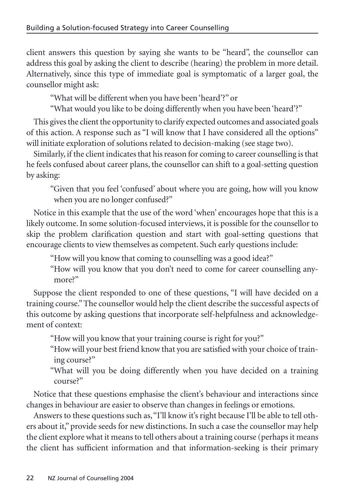client answers this question by saying she wants to be "heard", the counsellor can address this goal by asking the client to describe (hearing) the problem in more detail. Alternatively, since this type of immediate goal is symptomatic of a larger goal, the counsellor might ask:

"What will be different when you have been 'heard'?" or

"What would you like to be doing differently when you have been 'heard'?"

This gives the client the opportunity to clarify expected outcomes and associated goals of this action. A response such as "I will know that I have considered all the options" will initiate exploration of solutions related to decision-making (see stage two).

Similarly, if the client indicates that his reason for coming to career counselling is that he feels confused about career plans, the counsellor can shift to a goal-setting question by asking:

"Given that you feel 'confused' about where you are going, how will you know when you are no longer confused?"

Notice in this example that the use of the word 'when' encourages hope that this is a likely outcome. In some solution-focused interviews, it is possible for the counsellor to skip the problem clarification question and start with goal-setting questions that encourage clients to view themselves as competent. Such early questions include:

"How will you know that coming to counselling was a good idea?"

"How will you know that you don't need to come for career counselling anymore?"

Suppose the client responded to one of these questions, "I will have decided on a training course." The counsellor would help the client describe the successful aspects of this outcome by asking questions that incorporate self-helpfulness and acknowledgement of context:

"How will you know that your training course is right for you?"

- "How will your best friend know that you are satisfied with your choice of training course?"
- "What will you be doing differently when you have decided on a training course?"

Notice that these questions emphasise the client's behaviour and interactions since changes in behaviour are easier to observe than changes in feelings or emotions.

Answers to these questions such as,"I'll know it's right because I'll be able to tell others about it," provide seeds for new distinctions. In such a case the counsellor may help the client explore what it means to tell others about a training course (perhaps it means the client has sufficient information and that information-seeking is their primary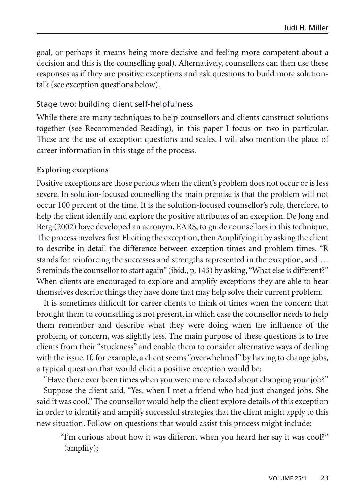goal, or perhaps it means being more decisive and feeling more competent about a decision and this is the counselling goal). Alternatively, counsellors can then use these responses as if they are positive exceptions and ask questions to build more solutiontalk (see exception questions below).

#### Stage two: building client self-helpfulness

While there are many techniques to help counsellors and clients construct solutions together (see Recommended Reading), in this paper I focus on two in particular. These are the use of exception questions and scales. I will also mention the place of career information in this stage of the process.

#### **Exploring exceptions**

Positive exceptions are those periods when the client's problem does not occur or is less severe. In solution-focused counselling the main premise is that the problem will not occur 100 percent of the time. It is the solution-focused counsellor's role, therefore, to help the client identify and explore the positive attributes of an exception. De Jong and Berg (2002) have developed an acronym, EARS, to guide counsellors in this technique. The process involves first Eliciting the exception, then Amplifying it by asking the client to describe in detail the difference between exception times and problem times. "R stands for reinforcing the successes and strengths represented in the exception, and … S reminds the counsellor to start again" (ibid., p. 143) by asking,"What else is different?" When clients are encouraged to explore and amplify exceptions they are able to hear themselves describe things they have done that may help solve their current problem.

It is sometimes difficult for career clients to think of times when the concern that brought them to counselling is not present, in which case the counsellor needs to help them remember and describe what they were doing when the influence of the problem, or concern, was slightly less. The main purpose of these questions is to free clients from their "stuckness" and enable them to consider alternative ways of dealing with the issue. If, for example, a client seems "overwhelmed" by having to change jobs, a typical question that would elicit a positive exception would be:

"Have there ever been times when you were more relaxed about changing your job?" Suppose the client said, "Yes, when I met a friend who had just changed jobs. She said it was cool." The counsellor would help the client explore details of this exception in order to identify and amplify successful strategies that the client might apply to this new situation. Follow-on questions that would assist this process might include:

"I'm curious about how it was different when you heard her say it was cool?" (amplify);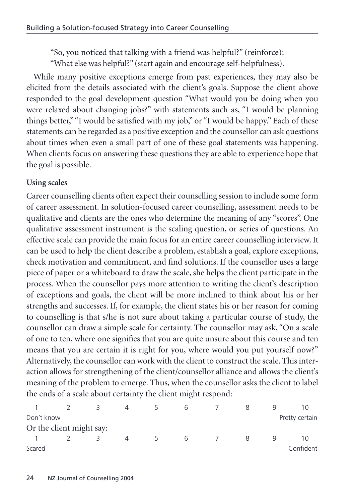"So, you noticed that talking with a friend was helpful?" (reinforce); "What else was helpful?" (start again and encourage self-helpfulness).

While many positive exceptions emerge from past experiences, they may also be elicited from the details associated with the client's goals. Suppose the client above responded to the goal development question "What would you be doing when you were relaxed about changing jobs?" with statements such as, "I would be planning things better," "I would be satisfied with my job," or "I would be happy." Each of these statements can be regarded as a positive exception and the counsellor can ask questions about times when even a small part of one of these goal statements was happening. When clients focus on answering these questions they are able to experience hope that the goal is possible.

#### **Using scales**

Career counselling clients often expect their counselling session to include some form of career assessment. In solution-focused career counselling, assessment needs to be qualitative and clients are the ones who determine the meaning of any "scores". One qualitative assessment instrument is the scaling question, or series of questions. An effective scale can provide the main focus for an entire career counselling interview. It can be used to help the client describe a problem, establish a goal, explore exceptions, check motivation and commitment, and find solutions. If the counsellor uses a large piece of paper or a whiteboard to draw the scale, she helps the client participate in the process. When the counsellor pays more attention to writing the client's description of exceptions and goals, the client will be more inclined to think about his or her strengths and successes. If, for example, the client states his or her reason for coming to counselling is that s/he is not sure about taking a particular course of study, the counsellor can draw a simple scale for certainty. The counsellor may ask, "On a scale of one to ten, where one signifies that you are quite unsure about this course and ten means that you are certain it is right for you, where would you put yourself now?" Alternatively, the counsellor can work with the client to construct the scale. This interaction allows for strengthening of the client/counsellor alliance and allows the client's meaning of the problem to emerge. Thus, when the counsellor asks the client to label the ends of a scale about certainty the client might respond:

|            |                          | 4        |   | b |   |   |                |
|------------|--------------------------|----------|---|---|---|---|----------------|
| Don't know |                          |          |   |   |   |   | Pretty certain |
|            | Or the client might say: |          |   |   |   |   |                |
|            |                          | $\Delta$ | 5 | 6 | 8 | q | 10             |
| Scared     |                          |          |   |   |   |   | Confident      |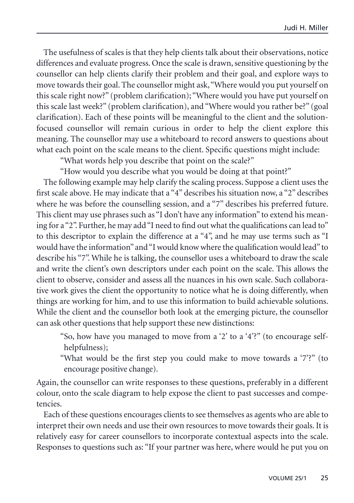The usefulness of scales is that they help clients talk about their observations, notice differences and evaluate progress. Once the scale is drawn, sensitive questioning by the counsellor can help clients clarify their problem and their goal, and explore ways to move towards their goal. The counsellor might ask,"Where would you put yourself on this scale right now?" (problem clarification); "Where would you have put yourself on this scale last week?" (problem clarification), and "Where would you rather be?" (goal clarification). Each of these points will be meaningful to the client and the solutionfocused counsellor will remain curious in order to help the client explore this meaning. The counsellor may use a whiteboard to record answers to questions about what each point on the scale means to the client. Specific questions might include:

"What words help you describe that point on the scale?"

"How would you describe what you would be doing at that point?"

The following example may help clarify the scaling process. Suppose a client uses the first scale above. He may indicate that a "4" describes his situation now, a "2" describes where he was before the counselling session, and a "7" describes his preferred future. This client may use phrases such as "I don't have any information" to extend his meaning for a "2". Further, he may add "I need to find out what the qualifications can lead to" to this descriptor to explain the difference at a "4", and he may use terms such as "I would have the information"and "I would know where the qualification would lead" to describe his "7". While he is talking, the counsellor uses a whiteboard to draw the scale and write the client's own descriptors under each point on the scale. This allows the client to observe, consider and assess all the nuances in his own scale. Such collaborative work gives the client the opportunity to notice what he is doing differently, when things are working for him, and to use this information to build achievable solutions. While the client and the counsellor both look at the emerging picture, the counsellor can ask other questions that help support these new distinctions:

"So, how have you managed to move from a '2' to a '4'?" (to encourage selfhelpfulness);

"What would be the first step you could make to move towards a '7'?" (to encourage positive change).

Again, the counsellor can write responses to these questions, preferably in a different colour, onto the scale diagram to help expose the client to past successes and competencies.

Each of these questions encourages clients to see themselves as agents who are able to interpret their own needs and use their own resources to move towards their goals. It is relatively easy for career counsellors to incorporate contextual aspects into the scale. Responses to questions such as: "If your partner was here, where would he put you on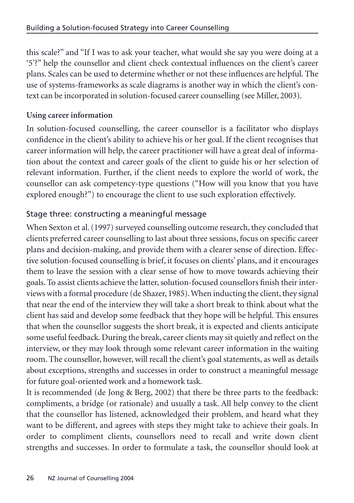this scale?" and "If I was to ask your teacher, what would she say you were doing at a '5'?" help the counsellor and client check contextual influences on the client's career plans. Scales can be used to determine whether or not these influences are helpful. The use of systems-frameworks as scale diagrams is another way in which the client's context can be incorporated in solution-focused career counselling (see Miller, 2003).

## **Using career information**

In solution-focused counselling, the career counsellor is a facilitator who displays confidence in the client's ability to achieve his or her goal. If the client recognises that career information will help, the career practitioner will have a great deal of information about the context and career goals of the client to guide his or her selection of relevant information. Further, if the client needs to explore the world of work, the counsellor can ask competency-type questions ("How will you know that you have explored enough?") to encourage the client to use such exploration effectively.

# Stage three: constructing a meaningful message

When Sexton et al. (1997) surveyed counselling outcome research, they concluded that clients preferred career counselling to last about three sessions, focus on specific career plans and decision-making, and provide them with a clearer sense of direction. Effective solution-focused counselling is brief, it focuses on clients' plans, and it encourages them to leave the session with a clear sense of how to move towards achieving their goals. To assist clients achieve the latter, solution-focused counsellors finish their interviews with a formal procedure (de Shazer, 1985). When inducting the client, they signal that near the end of the interview they will take a short break to think about what the client has said and develop some feedback that they hope will be helpful. This ensures that when the counsellor suggests the short break, it is expected and clients anticipate some useful feedback. During the break, career clients may sit quietly and reflect on the interview, or they may look through some relevant career information in the waiting room. The counsellor, however, will recall the client's goal statements, as well as details about exceptions, strengths and successes in order to construct a meaningful message for future goal-oriented work and a homework task.

It is recommended (de Jong & Berg, 2002) that there be three parts to the feedback: compliments, a bridge (or rationale) and usually a task. All help convey to the client that the counsellor has listened, acknowledged their problem, and heard what they want to be different, and agrees with steps they might take to achieve their goals. In order to compliment clients, counsellors need to recall and write down client strengths and successes. In order to formulate a task, the counsellor should look at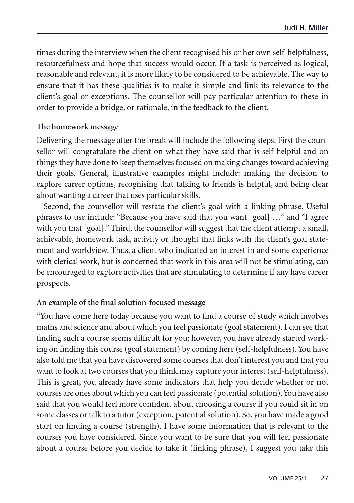times during the interview when the client recognised his or her own self-helpfulness, resourcefulness and hope that success would occur. If a task is perceived as logical, reasonable and relevant, it is more likely to be considered to be achievable. The way to ensure that it has these qualities is to make it simple and link its relevance to the client's goal or exceptions. The counsellor will pay particular attention to these in order to provide a bridge, or rationale, in the feedback to the client.

#### **The homework message**

Delivering the message after the break will include the following steps. First the counsellor will congratulate the client on what they have said that is self-helpful and on things they have done to keep themselves focused on making changes toward achieving their goals. General, illustrative examples might include: making the decision to explore career options, recognising that talking to friends is helpful, and being clear about wanting a career that uses particular skills.

Second, the counsellor will restate the client's goal with a linking phrase. Useful phrases to use include: "Because you have said that you want [goal] …" and "I agree with you that [goal]." Third, the counsellor will suggest that the client attempt a small, achievable, homework task, activity or thought that links with the client's goal statement and worldview. Thus, a client who indicated an interest in and some experience with clerical work, but is concerned that work in this area will not be stimulating, can be encouraged to explore activities that are stimulating to determine if any have career prospects.

### **An example of the final solution-focused message**

"You have come here today because you want to find a course of study which involves maths and science and about which you feel passionate (goal statement). I can see that finding such a course seems difficult for you; however, you have already started working on finding this course (goal statement) by coming here (self-helpfulness). You have also told me that you have discovered some courses that don't interest you and that you want to look at two courses that you think may capture your interest (self-helpfulness). This is great, you already have some indicators that help you decide whether or not courses are ones about which you can feel passionate (potential solution).You have also said that you would feel more confident about choosing a course if you could sit in on some classes or talk to a tutor (exception, potential solution). So, you have made a good start on finding a course (strength). I have some information that is relevant to the courses you have considered. Since you want to be sure that you will feel passionate about a course before you decide to take it (linking phrase), I suggest you take this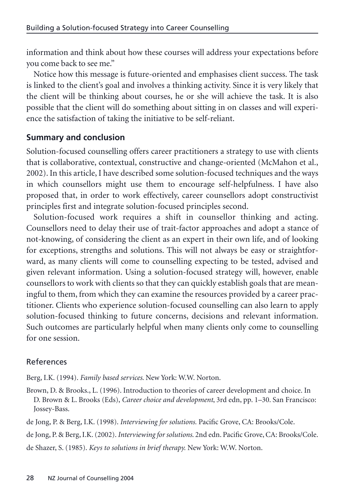information and think about how these courses will address your expectations before you come back to see me."

Notice how this message is future-oriented and emphasises client success. The task is linked to the client's goal and involves a thinking activity. Since it is very likely that the client will be thinking about courses, he or she will achieve the task. It is also possible that the client will do something about sitting in on classes and will experience the satisfaction of taking the initiative to be self-reliant.

### **Summary and conclusion**

Solution-focused counselling offers career practitioners a strategy to use with clients that is collaborative, contextual, constructive and change-oriented (McMahon et al., 2002). In this article, I have described some solution-focused techniques and the ways in which counsellors might use them to encourage self-helpfulness. I have also proposed that, in order to work effectively, career counsellors adopt constructivist principles first and integrate solution-focused principles second.

Solution-focused work requires a shift in counsellor thinking and acting. Counsellors need to delay their use of trait-factor approaches and adopt a stance of not-knowing, of considering the client as an expert in their own life, and of looking for exceptions, strengths and solutions. This will not always be easy or straightforward, as many clients will come to counselling expecting to be tested, advised and given relevant information. Using a solution-focused strategy will, however, enable counsellors to work with clients so that they can quickly establish goals that are meaningful to them, from which they can examine the resources provided by a career practitioner. Clients who experience solution-focused counselling can also learn to apply solution-focused thinking to future concerns, decisions and relevant information. Such outcomes are particularly helpful when many clients only come to counselling for one session.

### References

Berg, I.K. (1994). *Family based services*. New York: W.W. Norton.

Brown, D. & Brooks., L. (1996). Introduction to theories of career development and choice. In D. Brown & L. Brooks (Eds), *Career choice and development*, 3rd edn, pp. 1–30. San Francisco: Jossey-Bass.

de Jong, P. & Berg, I.K. (1998). *Interviewing for solutions.* Pacific Grove, CA: Brooks/Cole.

de Jong, P. & Berg, I.K. (2002).*Interviewing for solutions*. 2nd edn. Pacific Grove, CA: Brooks/Cole.

de Shazer, S. (1985). *Keys to solutions in brief therapy.* New York: W.W. Norton.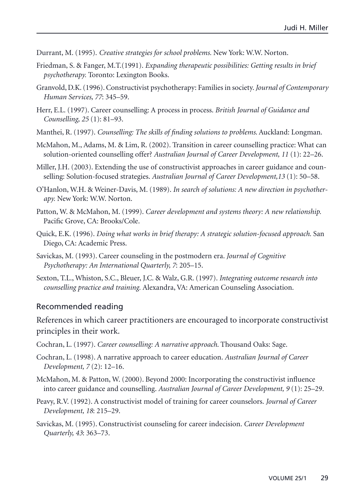Durrant, M. (1995). *Creative strategies for school problems.* New York: W.W. Norton.

- Friedman, S. & Fanger, M.T.(1991). *Expanding therapeutic possibilities: Getting results in brief psychotherapy.* Toronto: Lexington Books.
- Granvold, D.K. (1996). Constructivist psychotherapy: Families in society.*Journal of Contemporary Human Services, 77*: 345–59.
- Herr, E.L. (1997). Career counselling: A process in process. *British Journal of Guidance and Counselling, 25* (1): 81–93.
- Manthei, R. (1997). *Counselling: The skills of finding solutions to problems*. Auckland: Longman.
- McMahon, M., Adams, M. & Lim, R. (2002). Transition in career counselling practice: What can solution-oriented counselling offer? *Australian Journal of Career Development, 11* (1): 22–26.
- Miller, J.H. (2003). Extending the use of constructivist approaches in career guidance and counselling: Solution-focused strategies. *Australian Journal of Career Development,13* (1): 50–58.
- O'Hanlon, W.H. & Weiner-Davis, M. (1989). *In search of solutions: A new direction in psychotherapy.* New York: W.W. Norton.
- Patton, W. & McMahon, M. (1999). *Career development and systems theory: A new relationship.* Pacific Grove, CA: Brooks/Cole.
- Quick, E.K. (1996). *Doing what works in brief therapy: A strategic solution-focused approach.* San Diego, CA: Academic Press.
- Savickas, M. (1993). Career counseling in the postmodern era. *Journal of Cognitive Psychotherapy: An International Quarterly, 7*: 205–15.
- Sexton, T.L., Whiston, S.C., Bleuer, J.C. & Walz, G.R. (1997). *Integrating outcome research into counselling practice and training.* Alexandra, VA: American Counseling Association.

#### Recommended reading

References in which career practitioners are encouraged to incorporate constructivist principles in their work.

- Cochran, L. (1997). *Career counselling: A narrative approach*. Thousand Oaks: Sage.
- Cochran, L. (1998). A narrative approach to career education. *Australian Journal of Career Development, 7* (2): 12–16.
- McMahon, M. & Patton, W. (2000). Beyond 2000: Incorporating the constructivist influence into career guidance and counselling. *Australian Journal of Career Development, 9* (1): 25–29.
- Peavy, R.V. (1992). A constructivist model of training for career counselors. *Journal of Career Development, 18*: 215–29.
- Savickas, M. (1995). Constructivist counseling for career indecision. *Career Development Quarterly, 43*: 363–73.